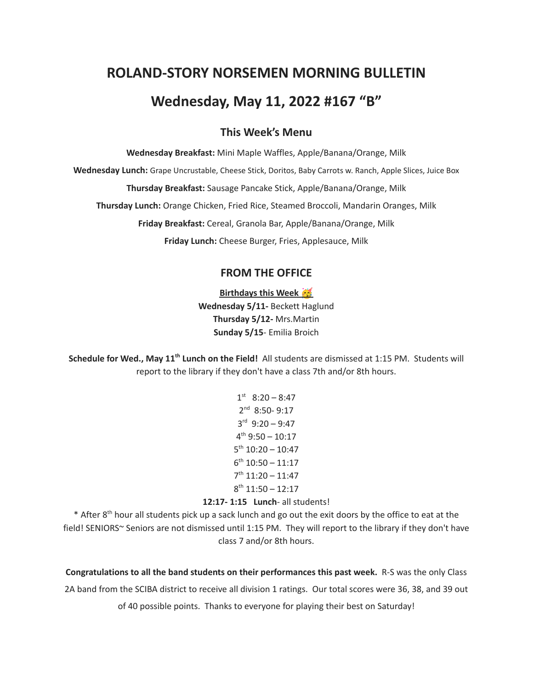# **ROLAND-STORY NORSEMEN MORNING BULLETIN Wednesday, May 11, 2022 #167 "B"**

## **This Week's Menu**

**Wednesday Breakfast:** Mini Maple Waffles, Apple/Banana/Orange, Milk **Wednesday Lunch:** Grape Uncrustable, Cheese Stick, Doritos, Baby Carrots w. Ranch, Apple Slices, Juice Box **Thursday Breakfast:** Sausage Pancake Stick, Apple/Banana/Orange, Milk **Thursday Lunch:** Orange Chicken, Fried Rice, Steamed Broccoli, Mandarin Oranges, Milk **Friday Breakfast:** Cereal, Granola Bar, Apple/Banana/Orange, Milk **Friday Lunch:** Cheese Burger, Fries, Applesauce, Milk

# **FROM THE OFFICE**

**Birthdays this Week Wednesday 5/11-** Beckett Haglund **Thursday 5/12-** Mrs.Martin **Sunday 5/15**- Emilia Broich

**Schedule for Wed., May 11 th Lunch on the Field!** All students are dismissed at 1:15 PM. Students will report to the library if they don't have a class 7th and/or 8th hours.

> $1<sup>st</sup> 8:20 - 8:47$ 2 nd 8:50- 9:17 3 rd 9:20 – 9:47 4 th 9:50 – 10:17  $5<sup>th</sup> 10:20 - 10:47$  $6<sup>th</sup> 10:50 - 11:17$ 7 th 11:20 – 11:47  $8<sup>th</sup> 11:50 - 12:17$

#### **12:17- 1:15 Lunch**- all students!

\* After 8<sup>th</sup> hour all students pick up a sack lunch and go out the exit doors by the office to eat at the field! SENIORS~ Seniors are not dismissed until 1:15 PM. They will report to the library if they don't have class 7 and/or 8th hours.

**Congratulations to all the band students on their performances this past week.** R-S was the only Class 2A band from the SCIBA district to receive all division 1 ratings. Our total scores were 36, 38, and 39 out of 40 possible points. Thanks to everyone for playing their best on Saturday!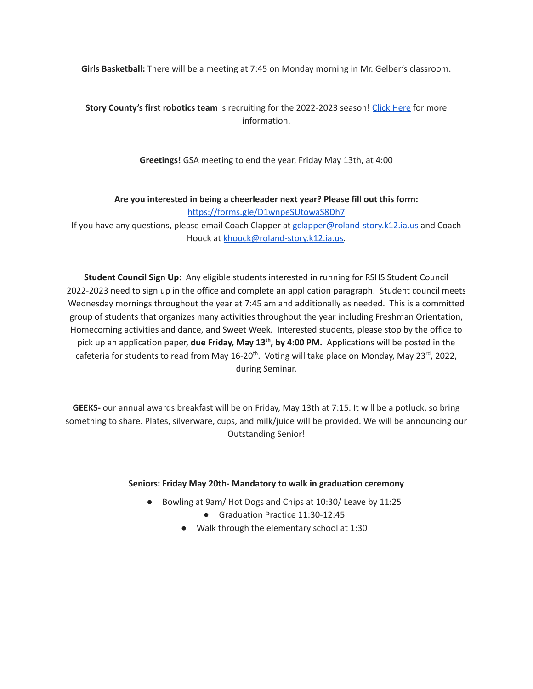**Girls Basketball:** There will be a meeting at 7:45 on Monday morning in Mr. Gelber's classroom.

**Story County's first robotics team** is recruiting for the 2022-2023 season! Click [Here](https://www.youtube.com/watch?v=DJLEO_voM-8) for more information.

**Greetings!** GSA meeting to end the year, Friday May 13th, at 4:00

**Are you interested in being a cheerleader next year? Please fill out this form:**

<https://forms.gle/D1wnpeSUtowaS8Dh7>

If you have any questions, please email Coach Clapper at gclapper@roland-story.k12.ia.us and Coach Houck at [khouck@roland-story.k12.ia.us.](mailto:khouck@roland-story.k12.ia.us)

**Student Council Sign Up:** Any eligible students interested in running for RSHS Student Council 2022-2023 need to sign up in the office and complete an application paragraph. Student council meets Wednesday mornings throughout the year at 7:45 am and additionally as needed. This is a committed group of students that organizes many activities throughout the year including Freshman Orientation, Homecoming activities and dance, and Sweet Week. Interested students, please stop by the office to pick up an application paper, **due Friday, May 13 th , by 4:00 PM.** Applications will be posted in the cafeteria for students to read from May 16-20<sup>th</sup>. Voting will take place on Monday, May 23<sup>rd</sup>, 2022, during Seminar.

**GEEKS-** our annual awards breakfast will be on Friday, May 13th at 7:15. It will be a potluck, so bring something to share. Plates, silverware, cups, and milk/juice will be provided. We will be announcing our Outstanding Senior!

#### **Seniors: Friday May 20th- Mandatory to walk in graduation ceremony**

- Bowling at 9am/ Hot Dogs and Chips at 10:30/ Leave by 11:25
	- Graduation Practice 11:30-12:45
	- Walk through the elementary school at 1:30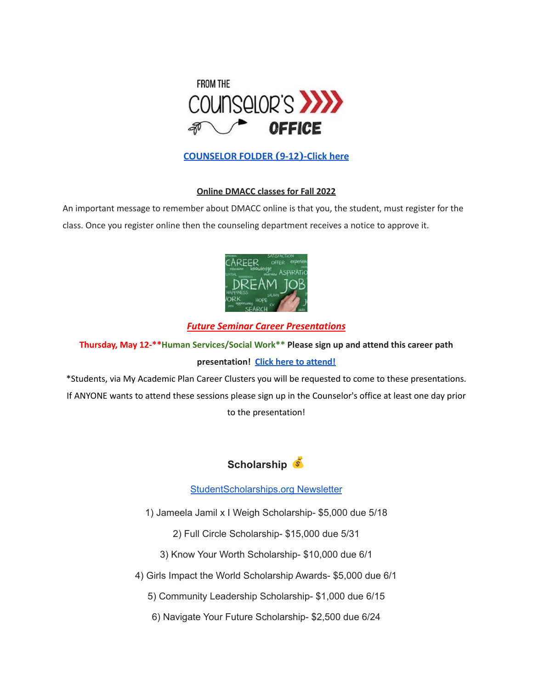

# **[COUNSELOR FOLDER](https://docs.google.com/document/d/1vmwczNPbDzXe9vFaG5LJMQ7NYDv-i4oQJHybqA65TUc/edit?usp=sharing) (9-12)-Click here**

#### **Online DMACC classes for Fall 2022**

An important message to remember about DMACC online is that you, the student, must register for the class. Once you register online then the counseling department receives a notice to approve it.



## *Future Seminar Career Presentations*

**Thursday, May 12-\*\*Human Services/Social Work\*\* Please sign up and attend this career path presentation! Click here to [attend!](https://sdk.bitmoji.com/render/panel/24d97e36-b0df-41af-b867-820365c4a5e0-d13162a6-9982-44cb-8401-aed3bfb129ed-v1.png?transparent=1&palette=1)**

\*Students, via My Academic Plan Career Clusters you will be requested to come to these presentations. If ANYONE wants to attend these sessions please sign up in the Counselor's office at least one day prior to the presentation!



## [StudentScholarships.org](https://drive.google.com/file/d/1qEKcx3GVK6vi8DB_QD_Px65Do1Dedcz6/view?usp=sharing) Newsletter

1) Jameela Jamil x I Weigh Scholarship- \$5,000 due 5/18

2) Full Circle Scholarship- \$15,000 due 5/31

3) Know Your Worth Scholarship- \$10,000 due 6/1

4) Girls Impact the World Scholarship Awards- \$5,000 due 6/1

5) Community Leadership Scholarship- \$1,000 due 6/15

6) Navigate Your Future Scholarship- \$2,500 due 6/24